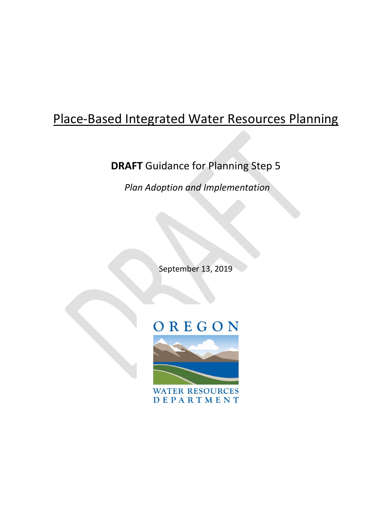# Place-Based Integrated Water Resources Planning

## **DRAFT** Guidance for Planning Step 5

*Plan Adoption and Implementation*

September 13, 2019

# OREGON



**WATER RESOURCES** DEPARTMENT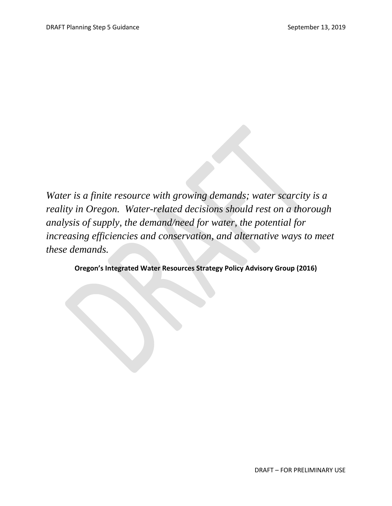*Water is a finite resource with growing demands; water scarcity is a reality in Oregon. Water-related decisions should rest on a thorough analysis of supply, the demand/need for water, the potential for increasing efficiencies and conservation, and alternative ways to meet these demands.*

**Oregon's Integrated Water Resources Strategy Policy Advisory Group (2016)**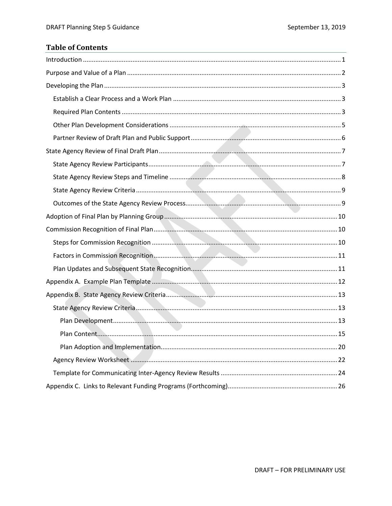### **Table of Contents**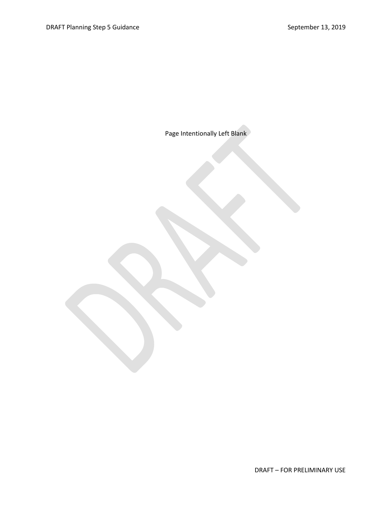Page Intentionally Left Blank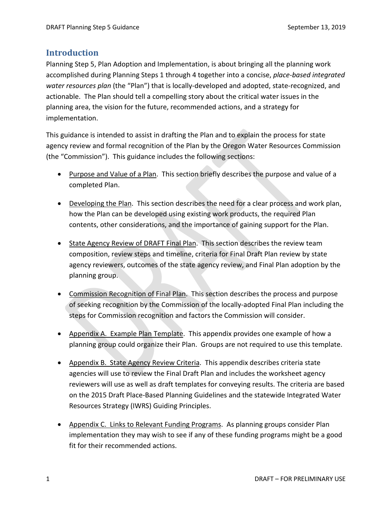### <span id="page-4-0"></span>**Introduction**

Planning Step 5, Plan Adoption and Implementation, is about bringing all the planning work accomplished during Planning Steps 1 through 4 together into a concise, *place-based integrated water resources plan* (the "Plan") that is locally-developed and adopted, state-recognized, and actionable. The Plan should tell a compelling story about the critical water issues in the planning area, the vision for the future, recommended actions, and a strategy for implementation.

This guidance is intended to assist in drafting the Plan and to explain the process for state agency review and formal recognition of the Plan by the Oregon Water Resources Commission (the "Commission"). This guidance includes the following sections:

- Purpose and Value of a Plan. This section briefly describes the purpose and value of a completed Plan.
- Developing the Plan. This section describes the need for a clear process and work plan, how the Plan can be developed using existing work products, the required Plan contents, other considerations, and the importance of gaining support for the Plan.
- State Agency Review of DRAFT Final Plan. This section describes the review team composition, review steps and timeline, criteria for Final Draft Plan review by state agency reviewers, outcomes of the state agency review, and Final Plan adoption by the planning group.
- Commission Recognition of Final Plan. This section describes the process and purpose of seeking recognition by the Commission of the locally-adopted Final Plan including the steps for Commission recognition and factors the Commission will consider.
- Appendix A. Example Plan Template. This appendix provides one example of how a planning group could organize their Plan. Groups are not required to use this template.
- Appendix B. State Agency Review Criteria. This appendix describes criteria state agencies will use to review the Final Draft Plan and includes the worksheet agency reviewers will use as well as draft templates for conveying results. The criteria are based on the 2015 Draft Place-Based Planning Guidelines and the statewide Integrated Water Resources Strategy (IWRS) Guiding Principles.
- Appendix C. Links to Relevant Funding Programs. As planning groups consider Plan implementation they may wish to see if any of these funding programs might be a good fit for their recommended actions.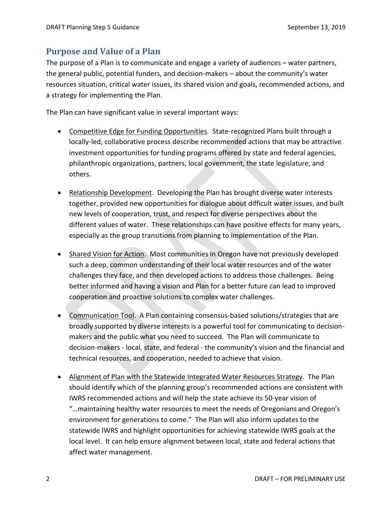### <span id="page-5-0"></span>**Purpose and Value of a Plan**

The purpose of a Plan is to communicate and engage a variety of audiences – water partners, the general public, potential funders, and decision-makers – about the community's water resources situation, critical water issues, its shared vision and goals, recommended actions, and a strategy for implementing the Plan.

The Plan can have significant value in several important ways:

- Competitive Edge for Funding Opportunities. State-recognized Plans built through a locally-led, collaborative process describe recommended actions that may be attractive investment opportunities for funding programs offered by state and federal agencies, philanthropic organizations, partners, local government, the state legislature, and others.
- Relationship Development. Developing the Plan has brought diverse water interests together, provided new opportunities for dialogue about difficult water issues, and built new levels of cooperation, trust, and respect for diverse perspectives about the different values of water. These relationships can have positive effects for many years, especially as the group transitions from planning to implementation of the Plan.
- Shared Vision for Action. Most communities in Oregon have not previously developed such a deep, common understanding of their local water resources and of the water challenges they face, and then developed actions to address those challenges. Being better informed and having a vision and Plan for a better future can lead to improved cooperation and proactive solutions to complex water challenges.
- Communication Tool. A Plan containing consensus-based solutions/strategies that are broadly supported by diverse interests is a powerful tool for communicating to decisionmakers and the public what you need to succeed. The Plan will communicate to decision-makers - local, state, and federal - the community's vision and the financial and technical resources, and cooperation, needed to achieve that vision.
- Alignment of Plan with the Statewide Integrated Water Resources Strategy. The Plan should identify which of the planning group's recommended actions are consistent with IWRS recommended actions and will help the state achieve its 50-year vision of "…maintaining healthy water resources to meet the needs of Oregonians and Oregon's environment for generations to come." The Plan will also inform updates to the statewide IWRS and highlight opportunities for achieving statewide IWRS goals at the local level. It can help ensure alignment between local, state and federal actions that affect water management.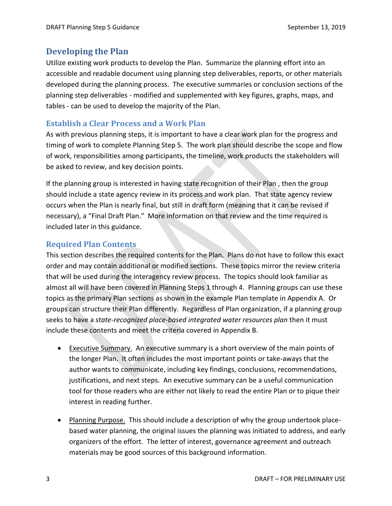### <span id="page-6-0"></span>**Developing the Plan**

Utilize existing work products to develop the Plan. Summarize the planning effort into an accessible and readable document using planning step deliverables, reports, or other materials developed during the planning process. The executive summaries or conclusion sections of the planning step deliverables - modified and supplemented with key figures, graphs, maps, and tables - can be used to develop the majority of the Plan.

#### <span id="page-6-1"></span>**Establish a Clear Process and a Work Plan**

As with previous planning steps, it is important to have a clear work plan for the progress and timing of work to complete Planning Step 5. The work plan should describe the scope and flow of work, responsibilities among participants, the timeline, work products the stakeholders will be asked to review, and key decision points.

If the planning group is interested in having state recognition of their Plan , then the group should include a state agency review in its process and work plan. That state agency review occurs when the Plan is nearly final, but still in draft form (meaning that it can be revised if necessary), a "Final Draft Plan." More information on that review and the time required is included later in this guidance.

#### <span id="page-6-2"></span>**Required Plan Contents**

This section describes the required contents for the Plan. Plans do not have to follow this exact order and may contain additional or modified sections. These topics mirror the review criteria that will be used during the interagency review process. The topics should look familiar as almost all will have been covered in Planning Steps 1 through 4. Planning groups can use these topics as the primary Plan sections as shown in the example Plan template in Appendix A. Or groups can structure their Plan differently. Regardless of Plan organization, if a planning group seeks to have a *state-recognized place-based integrated water resources plan* then it must include these contents and meet the criteria covered in Appendix B.

- Executive Summary. An executive summary is a short overview of the main points of the longer Plan. It often includes the most important points or take-aways that the author wants to communicate, including key findings, conclusions, recommendations, justifications, and next steps. An executive summary can be a useful communication tool for those readers who are either not likely to read the entire Plan or to pique their interest in reading further.
- Planning Purpose. This should include a description of why the group undertook placebased water planning, the original issues the planning was initiated to address, and early organizers of the effort. The letter of interest, governance agreement and outreach materials may be good sources of this background information.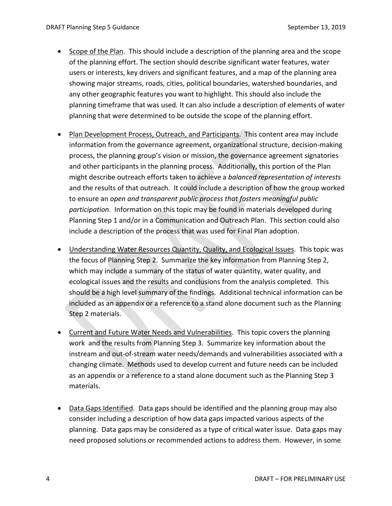- Scope of the Plan. This should include a description of the planning area and the scope of the planning effort. The section should describe significant water features, water users or interests, key drivers and significant features, and a map of the planning area showing major streams, roads, cities, political boundaries, watershed boundaries, and any other geographic features you want to highlight. This should also include the planning timeframe that was used. It can also include a description of elements of water planning that were determined to be outside the scope of the planning effort.
- Plan Development Process, Outreach, and Participants. This content area may include information from the governance agreement, organizational structure, decision-making process, the planning group's vision or mission, the governance agreement signatories and other participants in the planning process. Additionally, this portion of the Plan might describe outreach efforts taken to achieve a *balanced representation of interests* and the results of that outreach. It could include a description of how the group worked to ensure an *open and transparent public process that fosters meaningful public participation*. Information on this topic may be found in materials developed during Planning Step 1 and/or in a Communication and Outreach Plan. This section could also include a description of the process that was used for Final Plan adoption.
- Understanding Water Resources Quantity, Quality, and Ecological Issues. This topic was the focus of Planning Step 2. Summarize the key information from Planning Step 2, which may include a summary of the status of water quantity, water quality, and ecological issues and the results and conclusions from the analysis completed. This should be a high level summary of the findings. Additional technical information can be included as an appendix or a reference to a stand alone document such as the Planning Step 2 materials.
- Current and Future Water Needs and Vulnerabilities. This topic covers the planning work and the results from Planning Step 3. Summarize key information about the instream and out-of-stream water needs/demands and vulnerabilities associated with a changing climate. Methods used to develop current and future needs can be included as an appendix or a reference to a stand alone document such as the Planning Step 3 materials.
- Data Gaps Identified. Data gaps should be identified and the planning group may also consider including a description of how data gaps impacted various aspects of the planning. Data gaps may be considered as a type of critical water issue. Data gaps may need proposed solutions or recommended actions to address them. However, in some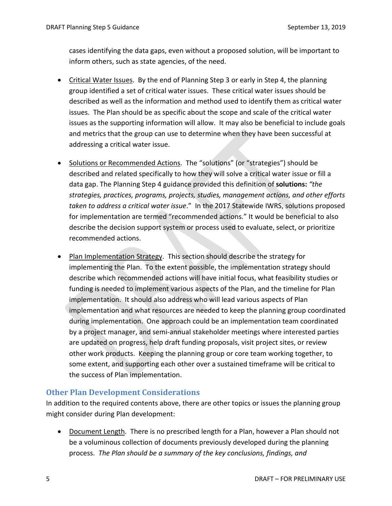cases identifying the data gaps, even without a proposed solution, will be important to inform others, such as state agencies, of the need.

- Critical Water Issues. By the end of Planning Step 3 or early in Step 4, the planning group identified a set of critical water issues. These critical water issues should be described as well as the information and method used to identify them as critical water issues. The Plan should be as specific about the scope and scale of the critical water issues as the supporting information will allow. It may also be beneficial to include goals and metrics that the group can use to determine when they have been successful at addressing a critical water issue.
- Solutions or Recommended Actions. The "solutions" (or "strategies") should be described and related specifically to how they will solve a critical water issue or fill a data gap. The Planning Step 4 guidance provided this definition of **solutions:** *"the strategies, practices, programs, projects, studies, management actions, and other efforts taken to address a critical water issue*." In the 2017 Statewide IWRS, solutions proposed for implementation are termed "recommended actions." It would be beneficial to also describe the decision support system or process used to evaluate, select, or prioritize recommended actions.
- Plan Implementation Strategy. This section should describe the strategy for implementing the Plan. To the extent possible, the implementation strategy should describe which recommended actions will have initial focus, what feasibility studies or funding is needed to implement various aspects of the Plan, and the timeline for Plan implementation. It should also address who will lead various aspects of Plan implementation and what resources are needed to keep the planning group coordinated during implementation. One approach could be an implementation team coordinated by a project manager, and semi-annual stakeholder meetings where interested parties are updated on progress, help draft funding proposals, visit project sites, or review other work products. Keeping the planning group or core team working together, to some extent, and supporting each other over a sustained timeframe will be critical to the success of Plan implementation.

### <span id="page-8-0"></span>**Other Plan Development Considerations**

In addition to the required contents above, there are other topics or issues the planning group might consider during Plan development:

• Document Length. There is no prescribed length for a Plan, however a Plan should not be a voluminous collection of documents previously developed during the planning process. *The Plan should be a summary of the key conclusions, findings, and*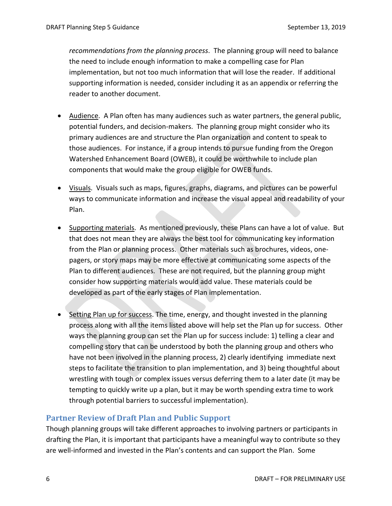*recommendations from the planning process*. The planning group will need to balance the need to include enough information to make a compelling case for Plan implementation, but not too much information that will lose the reader. If additional supporting information is needed, consider including it as an appendix or referring the reader to another document.

- Audience. A Plan often has many audiences such as water partners, the general public, potential funders, and decision-makers. The planning group might consider who its primary audiences are and structure the Plan organization and content to speak to those audiences. For instance, if a group intends to pursue funding from the Oregon Watershed Enhancement Board (OWEB), it could be worthwhile to include plan components that would make the group eligible for OWEB funds.
- Visuals. Visuals such as maps, figures, graphs, diagrams, and pictures can be powerful ways to communicate information and increase the visual appeal and readability of your Plan.
- Supporting materials. As mentioned previously, these Plans can have a lot of value. But that does not mean they are always the best tool for communicating key information from the Plan or planning process. Other materials such as brochures, videos, onepagers, or story maps may be more effective at communicating some aspects of the Plan to different audiences. These are not required, but the planning group might consider how supporting materials would add value. These materials could be developed as part of the early stages of Plan implementation.
- Setting Plan up for success. The time, energy, and thought invested in the planning process along with all the items listed above will help set the Plan up for success. Other ways the planning group can set the Plan up for success include: 1) telling a clear and compelling story that can be understood by both the planning group and others who have not been involved in the planning process, 2) clearly identifying immediate next steps to facilitate the transition to plan implementation, and 3) being thoughtful about wrestling with tough or complex issues versus deferring them to a later date (it may be tempting to quickly write up a plan, but it may be worth spending extra time to work through potential barriers to successful implementation).

### <span id="page-9-0"></span>**Partner Review of Draft Plan and Public Support**

Though planning groups will take different approaches to involving partners or participants in drafting the Plan, it is important that participants have a meaningful way to contribute so they are well-informed and invested in the Plan's contents and can support the Plan. Some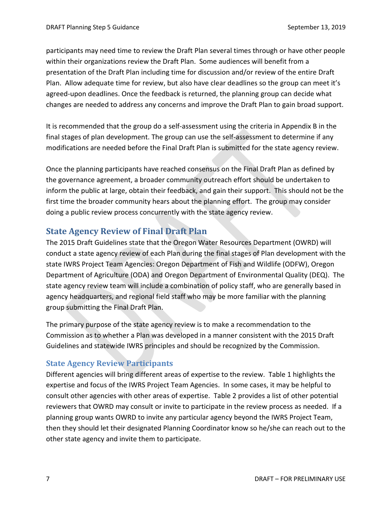participants may need time to review the Draft Plan several times through or have other people within their organizations review the Draft Plan. Some audiences will benefit from a presentation of the Draft Plan including time for discussion and/or review of the entire Draft Plan. Allow adequate time for review, but also have clear deadlines so the group can meet it's agreed-upon deadlines. Once the feedback is returned, the planning group can decide what changes are needed to address any concerns and improve the Draft Plan to gain broad support.

It is recommended that the group do a self-assessment using the criteria in Appendix B in the final stages of plan development. The group can use the self-assessment to determine if any modifications are needed before the Final Draft Plan is submitted for the state agency review.

Once the planning participants have reached consensus on the Final Draft Plan as defined by the governance agreement, a broader community outreach effort should be undertaken to inform the public at large, obtain their feedback, and gain their support. This should not be the first time the broader community hears about the planning effort. The group may consider doing a public review process concurrently with the state agency review.

### <span id="page-10-0"></span>**State Agency Review of Final Draft Plan**

The 2015 Draft Guidelines state that the Oregon Water Resources Department (OWRD) will conduct a state agency review of each Plan during the final stages of Plan development with the state IWRS Project Team Agencies: Oregon Department of Fish and Wildlife (ODFW), Oregon Department of Agriculture (ODA) and Oregon Department of Environmental Quality (DEQ). The state agency review team will include a combination of policy staff, who are generally based in agency headquarters, and regional field staff who may be more familiar with the planning group submitting the Final Draft Plan.

The primary purpose of the state agency review is to make a recommendation to the Commission as to whether a Plan was developed in a manner consistent with the 2015 Draft Guidelines and statewide IWRS principles and should be recognized by the Commission.

### <span id="page-10-1"></span>**State Agency Review Participants**

Different agencies will bring different areas of expertise to the review. Table 1 highlights the expertise and focus of the IWRS Project Team Agencies. In some cases, it may be helpful to consult other agencies with other areas of expertise. Table 2 provides a list of other potential reviewers that OWRD may consult or invite to participate in the review process as needed. If a planning group wants OWRD to invite any particular agency beyond the IWRS Project Team, then they should let their designated Planning Coordinator know so he/she can reach out to the other state agency and invite them to participate.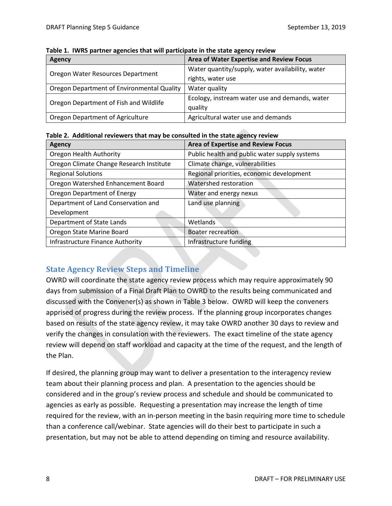| Agency                                     | Area of Water Expertise and Review Focus                  |
|--------------------------------------------|-----------------------------------------------------------|
| Oregon Water Resources Department          | Water quantity/supply, water availability, water          |
|                                            | rights, water use                                         |
| Oregon Department of Environmental Quality | Water quality                                             |
| Oregon Department of Fish and Wildlife     | Ecology, instream water use and demands, water<br>quality |
| Oregon Department of Agriculture           | Agricultural water use and demands                        |

**Table 1. IWRS partner agencies that will participate in the state agency review** 

|  |  |  |  |  |  | Table 2. Additional reviewers that may be consulted in the state agency review |
|--|--|--|--|--|--|--------------------------------------------------------------------------------|
|--|--|--|--|--|--|--------------------------------------------------------------------------------|

| <b>Agency</b>                            | <b>Area of Expertise and Review Focus</b>     |  |
|------------------------------------------|-----------------------------------------------|--|
| Oregon Health Authority                  | Public health and public water supply systems |  |
| Oregon Climate Change Research Institute | Climate change, vulnerabilities               |  |
| <b>Regional Solutions</b>                | Regional priorities, economic development     |  |
| Oregon Watershed Enhancement Board       | Watershed restoration                         |  |
| Oregon Department of Energy              | Water and energy nexus                        |  |
| Department of Land Conservation and      | Land use planning                             |  |
| Development                              |                                               |  |
| Department of State Lands                | Wetlands                                      |  |
| Oregon State Marine Board                | <b>Boater recreation</b>                      |  |
| Infrastructure Finance Authority         | Infrastructure funding                        |  |

### <span id="page-11-0"></span>**State Agency Review Steps and Timeline**

OWRD will coordinate the state agency review process which may require approximately 90 days from submission of a Final Draft Plan to OWRD to the results being communicated and discussed with the Convener(s) as shown in Table 3 below. OWRD will keep the conveners apprised of progress during the review process. If the planning group incorporates changes based on results of the state agency review, it may take OWRD another 30 days to review and verify the changes in consulation with the reviewers. The exact timeline of the state agency review will depend on staff workload and capacity at the time of the request, and the length of the Plan.

If desired, the planning group may want to deliver a presentation to the interagency review team about their planning process and plan. A presentation to the agencies should be considered and in the group's review process and schedule and should be communicated to agencies as early as possible. Requesting a presentation may increase the length of time required for the review, with an in-person meeting in the basin requiring more time to schedule than a conference call/webinar. State agencies will do their best to participate in such a presentation, but may not be able to attend depending on timing and resource availability.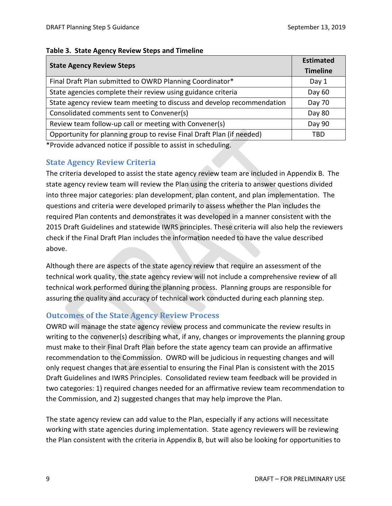| Table 3. State Agency Review Steps and Timeline |  |  |  |  |
|-------------------------------------------------|--|--|--|--|
|-------------------------------------------------|--|--|--|--|

| <b>Estimated</b> |
|------------------|
| <b>Timeline</b>  |
| Day 1            |
| Day 60           |
| Day 70           |
| Day 80           |
| Day 90           |
| TBD              |
|                  |

\*Provide advanced notice if possible to assist in scheduling.

### <span id="page-12-0"></span>**State Agency Review Criteria**

The criteria developed to assist the state agency review team are included in Appendix B. The state agency review team will review the Plan using the criteria to answer questions divided into three major categories: plan development, plan content, and plan implementation. The questions and criteria were developed primarily to assess whether the Plan includes the required Plan contents and demonstrates it was developed in a manner consistent with the 2015 Draft Guidelines and statewide IWRS principles. These criteria will also help the reviewers check if the Final Draft Plan includes the information needed to have the value described above.

Although there are aspects of the state agency review that require an assessment of the technical work quality, the state agency review will not include a comprehensive review of all technical work performed during the planning process. Planning groups are responsible for assuring the quality and accuracy of technical work conducted during each planning step.

### <span id="page-12-1"></span>**Outcomes of the State Agency Review Process**

OWRD will manage the state agency review process and communicate the review results in writing to the convener(s) describing what, if any, changes or improvements the planning group must make to their Final Draft Plan before the state agency team can provide an affirmative recommendation to the Commission. OWRD will be judicious in requesting changes and will only request changes that are essential to ensuring the Final Plan is consistent with the 2015 Draft Guidelines and IWRS Principles. Consolidated review team feedback will be provided in two categories: 1) required changes needed for an affirmative review team recommendation to the Commission, and 2) suggested changes that may help improve the Plan.

The state agency review can add value to the Plan, especially if any actions will necessitate working with state agencies during implementation. State agency reviewers will be reviewing the Plan consistent with the criteria in Appendix B, but will also be looking for opportunities to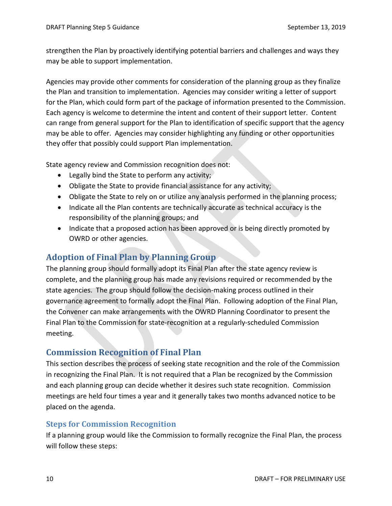strengthen the Plan by proactively identifying potential barriers and challenges and ways they may be able to support implementation.

Agencies may provide other comments for consideration of the planning group as they finalize the Plan and transition to implementation. Agencies may consider writing a letter of support for the Plan, which could form part of the package of information presented to the Commission. Each agency is welcome to determine the intent and content of their support letter. Content can range from general support for the Plan to identification of specific support that the agency may be able to offer. Agencies may consider highlighting any funding or other opportunities they offer that possibly could support Plan implementation.

State agency review and Commission recognition does not:

- Legally bind the State to perform any activity;
- Obligate the State to provide financial assistance for any activity;
- Obligate the State to rely on or utilize any analysis performed in the planning process;
- Indicate all the Plan contents are technically accurate as technical accuracy is the responsibility of the planning groups; and
- Indicate that a proposed action has been approved or is being directly promoted by OWRD or other agencies.

### <span id="page-13-0"></span>**Adoption of Final Plan by Planning Group**

The planning group should formally adopt its Final Plan after the state agency review is complete, and the planning group has made any revisions required or recommended by the state agencies. The group should follow the decision-making process outlined in their governance agreement to formally adopt the Final Plan. Following adoption of the Final Plan, the Convener can make arrangements with the OWRD Planning Coordinator to present the Final Plan to the Commission for state-recognition at a regularly-scheduled Commission meeting.

### <span id="page-13-1"></span>**Commission Recognition of Final Plan**

This section describes the process of seeking state recognition and the role of the Commission in recognizing the Final Plan. It is not required that a Plan be recognized by the Commission and each planning group can decide whether it desires such state recognition. Commission meetings are held four times a year and it generally takes two months advanced notice to be placed on the agenda.

### <span id="page-13-2"></span>**Steps for Commission Recognition**

If a planning group would like the Commission to formally recognize the Final Plan, the process will follow these steps: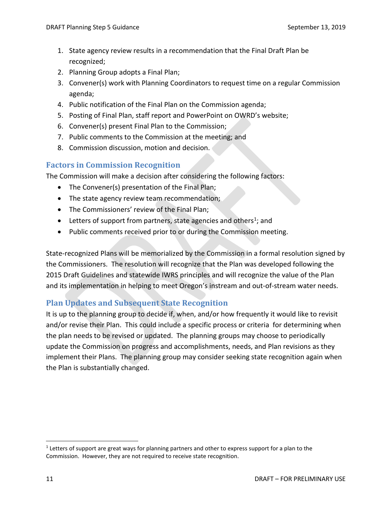- 1. State agency review results in a recommendation that the Final Draft Plan be recognized;
- 2. Planning Group adopts a Final Plan;
- 3. Convener(s) work with Planning Coordinators to request time on a regular Commission agenda;
- 4. Public notification of the Final Plan on the Commission agenda;
- 5. Posting of Final Plan, staff report and PowerPoint on OWRD's website;
- 6. Convener(s) present Final Plan to the Commission;
- 7. Public comments to the Commission at the meeting; and
- 8. Commission discussion, motion and decision.

### <span id="page-14-0"></span>**Factors in Commission Recognition**

The Commission will make a decision after considering the following factors:

- The Convener(s) presentation of the Final Plan;
- The state agency review team recommendation;
- The Commissioners' review of the Final Plan;
- Letters of support from partners, state agencies and others<sup>1</sup>; and
- Public comments received prior to or during the Commission meeting.

State-recognized Plans will be memorialized by the Commission in a formal resolution signed by the Commissioners. The resolution will recognize that the Plan was developed following the 2015 Draft Guidelines and statewide IWRS principles and will recognize the value of the Plan and its implementation in helping to meet Oregon's instream and out-of-stream water needs.

### <span id="page-14-1"></span>**Plan Updates and Subsequent State Recognition**

It is up to the planning group to decide if, when, and/or how frequently it would like to revisit and/or revise their Plan. This could include a specific process or criteria for determining when the plan needs to be revised or updated. The planning groups may choose to periodically update the Commission on progress and accomplishments, needs, and Plan revisions as they implement their Plans. The planning group may consider seeking state recognition again when the Plan is substantially changed.

<span id="page-14-2"></span> $1$  Letters of support are great ways for planning partners and other to express support for a plan to the Commission. However, they are not required to receive state recognition.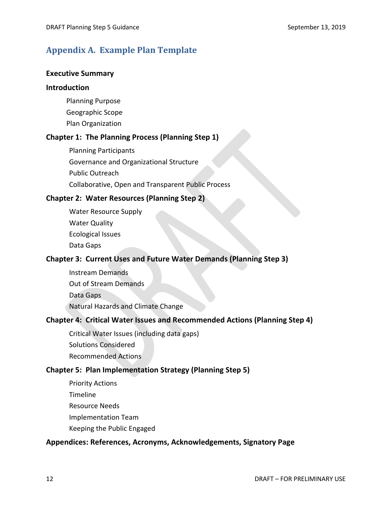### <span id="page-15-0"></span>**Appendix A. Example Plan Template**

#### **Executive Summary**

#### **Introduction**

Planning Purpose Geographic Scope Plan Organization

#### **Chapter 1: The Planning Process (Planning Step 1)**

Planning Participants Governance and Organizational Structure Public Outreach Collaborative, Open and Transparent Public Process

#### **Chapter 2: Water Resources (Planning Step 2)**

Water Resource Supply Water Quality Ecological Issues Data Gaps

#### **Chapter 3: Current Uses and Future Water Demands (Planning Step 3)**

Instream Demands Out of Stream Demands Data Gaps Natural Hazards and Climate Change

## **Chapter 4: Critical Water Issues and Recommended Actions (Planning Step 4)**

Critical Water Issues (including data gaps)

Solutions Considered

Recommended Actions

#### **Chapter 5: Plan Implementation Strategy (Planning Step 5)**

Priority Actions

Timeline

Resource Needs

Implementation Team

Keeping the Public Engaged

#### **Appendices: References, Acronyms, Acknowledgements, Signatory Page**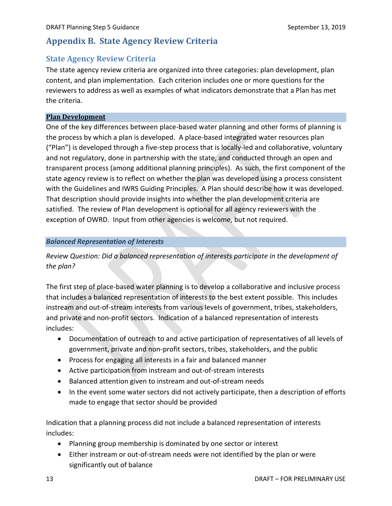### <span id="page-16-0"></span>**Appendix B. State Agency Review Criteria**

### <span id="page-16-1"></span>**State Agency Review Criteria**

The state agency review criteria are organized into three categories: plan development, plan content, and plan implementation. Each criterion includes one or more questions for the reviewers to address as well as examples of what indicators demonstrate that a Plan has met the criteria.

#### <span id="page-16-2"></span>**Plan Development**

One of the key differences between place-based water planning and other forms of planning is the process by which a plan is developed. A place-based integrated water resources plan ("Plan") is developed through a five-step process that is locally-led and collaborative, voluntary and not regulatory, done in partnership with the state, and conducted through an open and transparent process (among additional planning principles). As such, the first component of the state agency review is to reflect on whether the plan was developed using a process consistent with the Guidelines and IWRS Guiding Principles. A Plan should describe how it was developed. That description should provide insights into whether the plan development criteria are satisfied. The review of Plan development is optional for all agency reviewers with the exception of OWRD. Input from other agencies is welcome, but not required.

#### *Balanced Representation of Interests*

*Review Question: Did a balanced representation of interests participate in the development of the plan?* 

The first step of place-based water planning is to develop a collaborative and inclusive process that includes a balanced representation of interests to the best extent possible. This includes instream and out-of-stream interests from various levels of government, tribes, stakeholders, and private and non-profit sectors. Indication of a balanced representation of interests includes:

- Documentation of outreach to and active participation of representatives of all levels of government, private and non-profit sectors, tribes, stakeholders, and the public
- Process for engaging all interests in a fair and balanced manner
- Active participation from instream and out-of-stream interests
- Balanced attention given to instream and out-of-stream needs
- In the event some water sectors did not actively participate, then a description of efforts made to engage that sector should be provided

Indication that a planning process did not include a balanced representation of interests includes:

- Planning group membership is dominated by one sector or interest
- Either instream or out-of-stream needs were not identified by the plan or were significantly out of balance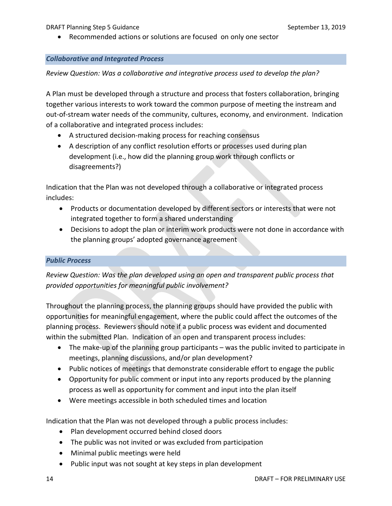• Recommended actions or solutions are focused on only one sector

#### *Collaborative and Integrated Process*

*Review Question: Was a collaborative and integrative process used to develop the plan?* 

A Plan must be developed through a structure and process that fosters collaboration, bringing together various interests to work toward the common purpose of meeting the instream and out-of-stream water needs of the community, cultures, economy, and environment. Indication of a collaborative and integrated process includes:

- A structured decision-making process for reaching consensus
- A description of any conflict resolution efforts or processes used during plan development (i.e., how did the planning group work through conflicts or disagreements?)

Indication that the Plan was not developed through a collaborative or integrated process includes:

- Products or documentation developed by different sectors or interests that were not integrated together to form a shared understanding
- Decisions to adopt the plan or interim work products were not done in accordance with the planning groups' adopted governance agreement

#### *Public Process*

*Review Question: Was the plan developed using an open and transparent public process that provided opportunities for meaningful public involvement?*

Throughout the planning process, the planning groups should have provided the public with opportunities for meaningful engagement, where the public could affect the outcomes of the planning process. Reviewers should note if a public process was evident and documented within the submitted Plan. Indication of an open and transparent process includes:

- The make-up of the planning group participants was the public invited to participate in meetings, planning discussions, and/or plan development?
- Public notices of meetings that demonstrate considerable effort to engage the public
- Opportunity for public comment or input into any reports produced by the planning process as well as opportunity for comment and input into the plan itself
- Were meetings accessible in both scheduled times and location

Indication that the Plan was not developed through a public process includes:

- Plan development occurred behind closed doors
- The public was not invited or was excluded from participation
- Minimal public meetings were held
- Public input was not sought at key steps in plan development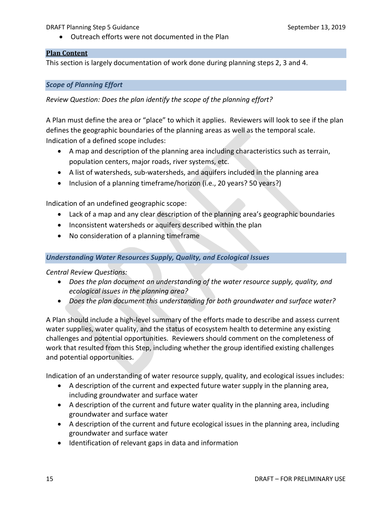• Outreach efforts were not documented in the Plan

#### <span id="page-18-0"></span>**Plan Content**

This section is largely documentation of work done during planning steps 2, 3 and 4.

#### *Scope of Planning Effort*

*Review Question: Does the plan identify the scope of the planning effort?* 

A Plan must define the area or "place" to which it applies. Reviewers will look to see if the plan defines the geographic boundaries of the planning areas as well as the temporal scale. Indication of a defined scope includes:

- A map and description of the planning area including characteristics such as terrain, population centers, major roads, river systems, etc.
- A list of watersheds, sub-watersheds, and aquifers included in the planning area
- Inclusion of a planning timeframe/horizon (i.e., 20 years? 50 years?)

Indication of an undefined geographic scope:

- Lack of a map and any clear description of the planning area's geographic boundaries
- Inconsistent watersheds or aquifers described within the plan
- No consideration of a planning timeframe

#### *Understanding Water Resources Supply, Quality, and Ecological Issues*

*Central Review Questions:* 

- *Does the plan document an understanding of the water resource supply, quality, and ecological issues in the planning area?*
- *Does the plan document this understanding for both groundwater and surface water?*

A Plan should include a high-level summary of the efforts made to describe and assess current water supplies, water quality, and the status of ecosystem health to determine any existing challenges and potential opportunities. Reviewers should comment on the completeness of work that resulted from this Step, including whether the group identified existing challenges and potential opportunities.

Indication of an understanding of water resource supply, quality, and ecological issues includes:

- A description of the current and expected future water supply in the planning area, including groundwater and surface water
- A description of the current and future water quality in the planning area, including groundwater and surface water
- A description of the current and future ecological issues in the planning area, including groundwater and surface water
- Identification of relevant gaps in data and information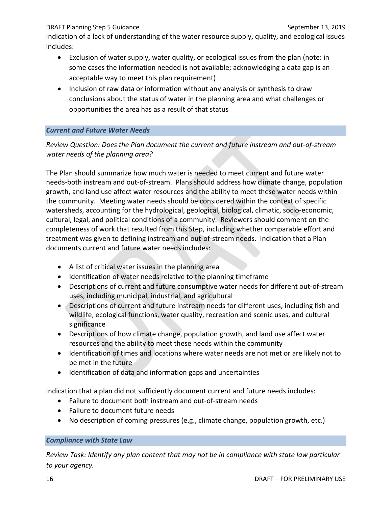Indication of a lack of understanding of the water resource supply, quality, and ecological issues includes:

- Exclusion of water supply, water quality, or ecological issues from the plan (note: in some cases the information needed is not available; acknowledging a data gap is an acceptable way to meet this plan requirement)
- Inclusion of raw data or information without any analysis or synthesis to draw conclusions about the status of water in the planning area and what challenges or opportunities the area has as a result of that status

#### *Current and Future Water Needs*

### *Review Question: Does the Plan document the current and future instream and out-of-stream water needs of the planning area?*

The Plan should summarize how much water is needed to meet current and future water needs-both instream and out-of-stream. Plans should address how climate change, population growth, and land use affect water resources and the ability to meet these water needs within the community. Meeting water needs should be considered within the context of specific watersheds, accounting for the hydrological, geological, biological, climatic, socio-economic, cultural, legal, and political conditions of a community. Reviewers should comment on the completeness of work that resulted from this Step, including whether comparable effort and treatment was given to defining instream and out-of-stream needs. Indication that a Plan documents current and future water needs includes:

- A list of critical water issues in the planning area
- Identification of water needs relative to the planning timeframe
- Descriptions of current and future consumptive water needs for different out-of-stream uses, including municipal, industrial, and agricultural
- Descriptions of current and future instream needs for different uses, including fish and wildlife, ecological functions, water quality, recreation and scenic uses, and cultural significance
- Descriptions of how climate change, population growth, and land use affect water resources and the ability to meet these needs within the community
- Identification of times and locations where water needs are not met or are likely not to be met in the future
- Identification of data and information gaps and uncertainties

Indication that a plan did not sufficiently document current and future needs includes:

- Failure to document both instream and out-of-stream needs
- Failure to document future needs
- No description of coming pressures (e.g., climate change, population growth, etc.)

#### *Compliance with State Law*

*Review Task: Identify any plan content that may not be in compliance with state law particular to your agency.*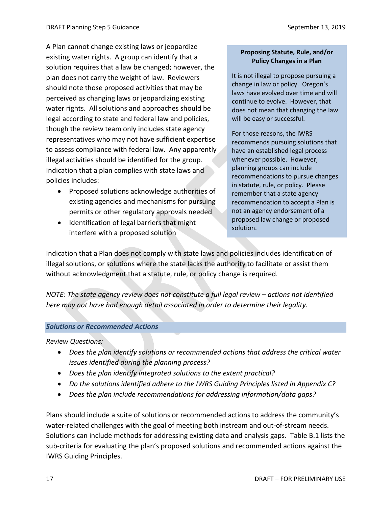A Plan cannot change existing laws or jeopardize existing water rights. A group can identify that a solution requires that a law be changed; however, the plan does not carry the weight of law. Reviewers should note those proposed activities that may be perceived as changing laws or jeopardizing existing water rights. All solutions and approaches should be legal according to state and federal law and policies, though the review team only includes state agency representatives who may not have sufficient expertise to assess compliance with federal law. Any apparently illegal activities should be identified for the group. Indication that a plan complies with state laws and policies includes:

- Proposed solutions acknowledge authorities of existing agencies and mechanisms for pursuing permits or other regulatory approvals needed
- Identification of legal barriers that might interfere with a proposed solution

#### **Proposing Statute, Rule, and/or Policy Changes in a Plan**

It is not illegal to propose pursuing a change in law or policy. Oregon's laws have evolved over time and will continue to evolve. However, that does not mean that changing the law will be easy or successful.

For those reasons, the IWRS recommends pursuing solutions that have an established legal process whenever possible. However, planning groups can include recommendations to pursue changes in statute, rule, or policy. Please remember that a state agency recommendation to accept a Plan is not an agency endorsement of a proposed law change or proposed solution.

Indication that a Plan does not comply with state laws and policies includes identification of illegal solutions, or solutions where the state lacks the authority to facilitate or assist them without acknowledgment that a statute, rule, or policy change is required.

*NOTE: The state agency review does not constitute a full legal review – actions not identified here may not have had enough detail associated in order to determine their legality.*

#### *Solutions or Recommended Actions*

*Review Questions:* 

- *Does the plan identify solutions or recommended actions that address the critical water issues identified during the planning process?*
- *Does the plan identify integrated solutions to the extent practical?*
- *Do the solutions identified adhere to the IWRS Guiding Principles listed in Appendix C?*
- *Does the plan include recommendations for addressing information/data gaps?*

Plans should include a suite of solutions or recommended actions to address the community's water-related challenges with the goal of meeting both instream and out-of-stream needs. Solutions can include methods for addressing existing data and analysis gaps. Table B.1 lists the sub-criteria for evaluating the plan's proposed solutions and recommended actions against the IWRS Guiding Principles.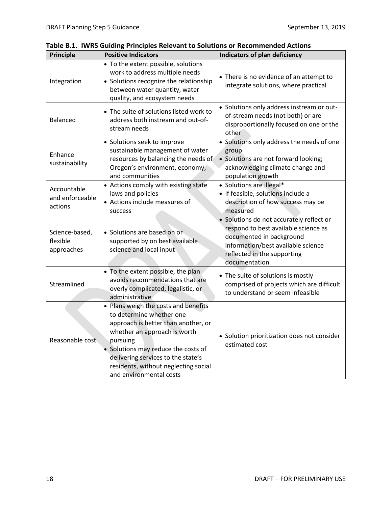| <b>Principle</b>                          | <b>Positive Indicators</b>                                                                                                                                                                                                                                                                          | Indicators of plan deficiency                                                                                                                                                                      |
|-------------------------------------------|-----------------------------------------------------------------------------------------------------------------------------------------------------------------------------------------------------------------------------------------------------------------------------------------------------|----------------------------------------------------------------------------------------------------------------------------------------------------------------------------------------------------|
| Integration                               | • To the extent possible, solutions<br>work to address multiple needs<br>• Solutions recognize the relationship<br>between water quantity, water<br>quality, and ecosystem needs                                                                                                                    | • There is no evidence of an attempt to<br>integrate solutions, where practical                                                                                                                    |
| <b>Balanced</b>                           | • The suite of solutions listed work to<br>address both instream and out-of-<br>stream needs                                                                                                                                                                                                        | • Solutions only address instream or out-<br>of-stream needs (not both) or are<br>disproportionally focused on one or the<br>other                                                                 |
| Enhance<br>sustainability                 | • Solutions seek to improve<br>sustainable management of water<br>resources by balancing the needs of<br>Oregon's environment, economy,<br>and communities                                                                                                                                          | • Solutions only address the needs of one<br>group<br>• Solutions are not forward looking;<br>acknowledging climate change and<br>population growth                                                |
| Accountable<br>and enforceable<br>actions | • Actions comply with existing state<br>laws and policies<br>• Actions include measures of<br>success                                                                                                                                                                                               | • Solutions are illegal*<br>· If feasible, solutions include a<br>description of how success may be<br>measured                                                                                    |
| Science-based,<br>flexible<br>approaches  | • Solutions are based on or<br>supported by on best available<br>science and local input                                                                                                                                                                                                            | · Solutions do not accurately reflect or<br>respond to best available science as<br>documented in background<br>information/best available science<br>reflected in the supporting<br>documentation |
| Streamlined                               | • To the extent possible, the plan<br>avoids recommendations that are<br>overly complicated, legalistic, or<br>administrative                                                                                                                                                                       | • The suite of solutions is mostly<br>comprised of projects which are difficult<br>to understand or seem infeasible                                                                                |
| Reasonable cost                           | • Plans weigh the costs and benefits<br>to determine whether one<br>approach is better than another, or<br>whether an approach is worth<br>pursuing<br>• Solutions may reduce the costs of<br>delivering services to the state's<br>residents, without neglecting social<br>and environmental costs | • Solution prioritization does not consider<br>estimated cost                                                                                                                                      |

**Table B.1. IWRS Guiding Principles Relevant to Solutions or Recommended Actions**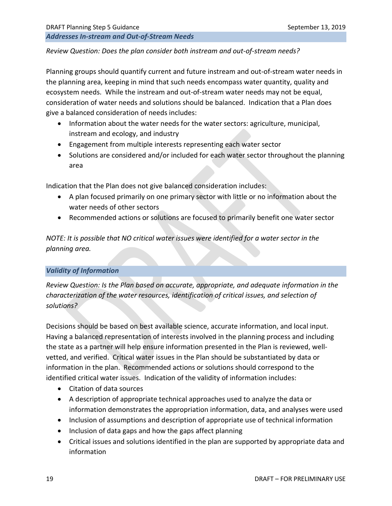#### *Review Question: Does the plan consider both instream and out-of-stream needs?*

Planning groups should quantify current and future instream and out-of-stream water needs in the planning area, keeping in mind that such needs encompass water quantity, quality and ecosystem needs. While the instream and out-of-stream water needs may not be equal, consideration of water needs and solutions should be balanced. Indication that a Plan does give a balanced consideration of needs includes:

- Information about the water needs for the water sectors: agriculture, municipal, instream and ecology, and industry
- Engagement from multiple interests representing each water sector
- Solutions are considered and/or included for each water sector throughout the planning area

Indication that the Plan does not give balanced consideration includes:

- A plan focused primarily on one primary sector with little or no information about the water needs of other sectors
- Recommended actions or solutions are focused to primarily benefit one water sector

*NOTE: It is possible that NO critical water issues were identified for a water sector in the planning area.*

#### *Validity of Information*

*Review Question: Is the Plan based on accurate, appropriate, and adequate information in the characterization of the water resources, identification of critical issues, and selection of solutions?* 

Decisions should be based on best available science, accurate information, and local input. Having a balanced representation of interests involved in the planning process and including the state as a partner will help ensure information presented in the Plan is reviewed, wellvetted, and verified. Critical water issues in the Plan should be substantiated by data or information in the plan. Recommended actions or solutions should correspond to the identified critical water issues. Indication of the validity of information includes:

- Citation of data sources
- A description of appropriate technical approaches used to analyze the data or information demonstrates the appropriation information, data, and analyses were used
- Inclusion of assumptions and description of appropriate use of technical information
- Inclusion of data gaps and how the gaps affect planning
- Critical issues and solutions identified in the plan are supported by appropriate data and information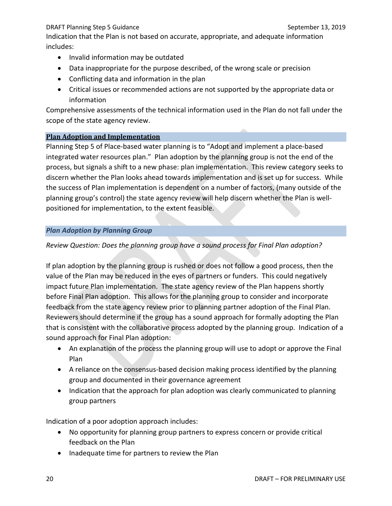Indication that the Plan is not based on accurate, appropriate, and adequate information includes:

- Invalid information may be outdated
- Data inappropriate for the purpose described, of the wrong scale or precision
- Conflicting data and information in the plan
- Critical issues or recommended actions are not supported by the appropriate data or information

Comprehensive assessments of the technical information used in the Plan do not fall under the scope of the state agency review.

#### <span id="page-23-0"></span>**Plan Adoption and Implementation**

Planning Step 5 of Place-based water planning is to "Adopt and implement a place-based integrated water resources plan." Plan adoption by the planning group is not the end of the process, but signals a shift to a new phase: plan implementation. This review category seeks to discern whether the Plan looks ahead towards implementation and is set up for success. While the success of Plan implementation is dependent on a number of factors, (many outside of the planning group's control) the state agency review will help discern whether the Plan is wellpositioned for implementation, to the extent feasible.

#### *Plan Adoption by Planning Group*

### *Review Question: Does the planning group have a sound process for Final Plan adoption?*

If plan adoption by the planning group is rushed or does not follow a good process, then the value of the Plan may be reduced in the eyes of partners or funders. This could negatively impact future Plan implementation. The state agency review of the Plan happens shortly before Final Plan adoption. This allows for the planning group to consider and incorporate feedback from the state agency review prior to planning partner adoption of the Final Plan. Reviewers should determine if the group has a sound approach for formally adopting the Plan that is consistent with the collaborative process adopted by the planning group. Indication of a sound approach for Final Plan adoption:

- An explanation of the process the planning group will use to adopt or approve the Final Plan
- A reliance on the consensus-based decision making process identified by the planning group and documented in their governance agreement
- Indication that the approach for plan adoption was clearly communicated to planning group partners

Indication of a poor adoption approach includes:

- No opportunity for planning group partners to express concern or provide critical feedback on the Plan
- Inadequate time for partners to review the Plan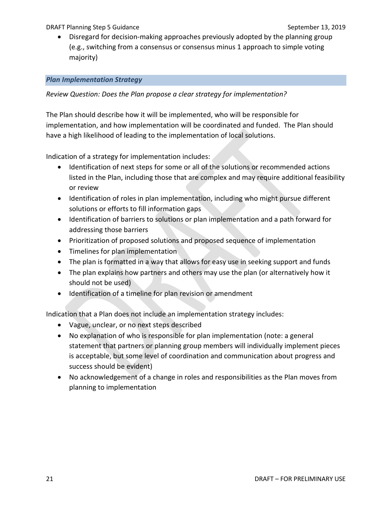• Disregard for decision-making approaches previously adopted by the planning group (e.g., switching from a consensus or consensus minus 1 approach to simple voting majority)

#### *Plan Implementation Strategy*

*Review Question: Does the Plan propose a clear strategy for implementation?*

The Plan should describe how it will be implemented, who will be responsible for implementation, and how implementation will be coordinated and funded. The Plan should have a high likelihood of leading to the implementation of local solutions.

Indication of a strategy for implementation includes:

- Identification of next steps for some or all of the solutions or recommended actions listed in the Plan, including those that are complex and may require additional feasibility or review
- Identification of roles in plan implementation, including who might pursue different solutions or efforts to fill information gaps
- Identification of barriers to solutions or plan implementation and a path forward for addressing those barriers
- Prioritization of proposed solutions and proposed sequence of implementation
- Timelines for plan implementation
- The plan is formatted in a way that allows for easy use in seeking support and funds
- The plan explains how partners and others may use the plan (or alternatively how it should not be used)
- Identification of a timeline for plan revision or amendment

Indication that a Plan does not include an implementation strategy includes:

- Vague, unclear, or no next steps described
- No explanation of who is responsible for plan implementation (note: a general statement that partners or planning group members will individually implement pieces is acceptable, but some level of coordination and communication about progress and success should be evident)
- No acknowledgement of a change in roles and responsibilities as the Plan moves from planning to implementation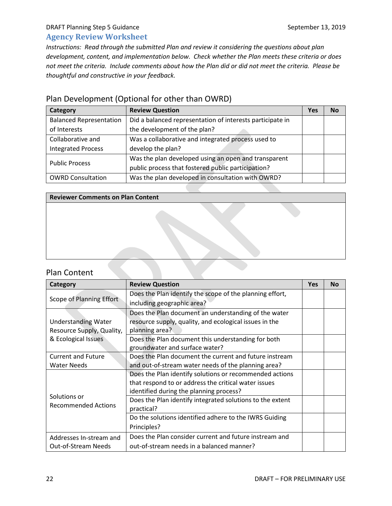#### <span id="page-25-0"></span>DRAFT Planning Step 5 Guidance September 13, 2019 **Agency Review Worksheet**

*Instructions: Read through the submitted Plan and review it considering the questions about plan development, content, and implementation below. Check whether the Plan meets these criteria or does not meet the criteria. Include comments about how the Plan did or did not meet the criteria. Please be thoughtful and constructive in your feedback.* 

| Category                       | <b>Review Question</b>                                    | Yes | No |
|--------------------------------|-----------------------------------------------------------|-----|----|
| <b>Balanced Representation</b> | Did a balanced representation of interests participate in |     |    |
| of Interests                   | the development of the plan?                              |     |    |
| Collaborative and              | Was a collaborative and integrated process used to        |     |    |
| <b>Integrated Process</b>      | develop the plan?                                         |     |    |
| <b>Public Process</b>          | Was the plan developed using an open and transparent      |     |    |
|                                | public process that fostered public participation?        |     |    |
| <b>OWRD Consultation</b>       | Was the plan developed in consultation with OWRD?         |     |    |

### Plan Development (Optional for other than OWRD)

**Reviewer Comments on Plan Content**

#### Plan Content

| Category                   | <b>Review Question</b>                                    | <b>Yes</b> | <b>No</b> |
|----------------------------|-----------------------------------------------------------|------------|-----------|
|                            | Does the Plan identify the scope of the planning effort,  |            |           |
| Scope of Planning Effort   | including geographic area?                                |            |           |
|                            | Does the Plan document an understanding of the water      |            |           |
| <b>Understanding Water</b> | resource supply, quality, and ecological issues in the    |            |           |
| Resource Supply, Quality,  | planning area?                                            |            |           |
| & Ecological Issues        | Does the Plan document this understanding for both        |            |           |
|                            | groundwater and surface water?                            |            |           |
| <b>Current and Future</b>  | Does the Plan document the current and future instream    |            |           |
| <b>Water Needs</b>         | and out-of-stream water needs of the planning area?       |            |           |
|                            | Does the Plan identify solutions or recommended actions   |            |           |
|                            | that respond to or address the critical water issues      |            |           |
| Solutions or               | identified during the planning process?                   |            |           |
| <b>Recommended Actions</b> | Does the Plan identify integrated solutions to the extent |            |           |
|                            | practical?                                                |            |           |
|                            | Do the solutions identified adhere to the IWRS Guiding    |            |           |
|                            | Principles?                                               |            |           |
| Addresses In-stream and    | Does the Plan consider current and future instream and    |            |           |
| <b>Out-of-Stream Needs</b> | out-of-stream needs in a balanced manner?                 |            |           |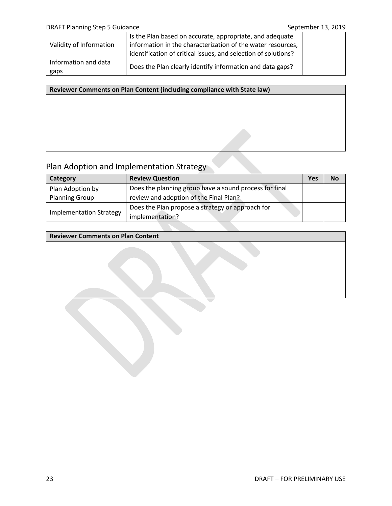| Validity of Information      | Is the Plan based on accurate, appropriate, and adequate<br>information in the characterization of the water resources,<br>identification of critical issues, and selection of solutions? |  |
|------------------------------|-------------------------------------------------------------------------------------------------------------------------------------------------------------------------------------------|--|
| Information and data<br>gaps | Does the Plan clearly identify information and data gaps?                                                                                                                                 |  |

**Reviewer Comments on Plan Content (including compliance with State law)**

### Plan Adoption and Implementation Strategy

| Category                       | <b>Review Question</b>                                 | Yes | No |
|--------------------------------|--------------------------------------------------------|-----|----|
| Plan Adoption by               | Does the planning group have a sound process for final |     |    |
| <b>Planning Group</b>          | review and adoption of the Final Plan?                 |     |    |
|                                | Does the Plan propose a strategy or approach for       |     |    |
| <b>Implementation Strategy</b> | implementation?                                        |     |    |

| <b>Reviewer Comments on Plan Content</b> |
|------------------------------------------|
|                                          |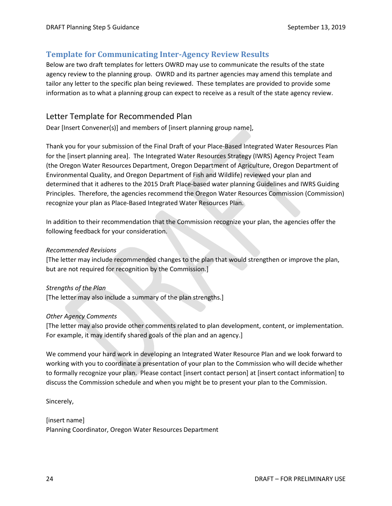#### <span id="page-27-0"></span>**Template for Communicating Inter-Agency Review Results**

Below are two draft templates for letters OWRD may use to communicate the results of the state agency review to the planning group. OWRD and its partner agencies may amend this template and tailor any letter to the specific plan being reviewed. These templates are provided to provide some information as to what a planning group can expect to receive as a result of the state agency review.

#### Letter Template for Recommended Plan

Dear [Insert Convener(s)] and members of [insert planning group name],

Thank you for your submission of the Final Draft of your Place-Based Integrated Water Resources Plan for the [insert planning area]. The Integrated Water Resources Strategy (IWRS) Agency Project Team (the Oregon Water Resources Department, Oregon Department of Agriculture, Oregon Department of Environmental Quality, and Oregon Department of Fish and Wildlife) reviewed your plan and determined that it adheres to the 2015 Draft Place-based water planning Guidelines and IWRS Guiding Principles. Therefore, the agencies recommend the Oregon Water Resources Commission (Commission) recognize your plan as Place-Based Integrated Water Resources Plan.

In addition to their recommendation that the Commission recognize your plan, the agencies offer the following feedback for your consideration.

#### *Recommended Revisions*

[The letter may include recommended changes to the plan that would strengthen or improve the plan, but are not required for recognition by the Commission.]

#### *Strengths of the Plan*

[The letter may also include a summary of the plan strengths.]

#### *Other Agency Comments*

[The letter may also provide other comments related to plan development, content, or implementation. For example, it may identify shared goals of the plan and an agency.]

We commend your hard work in developing an Integrated Water Resource Plan and we look forward to working with you to coordinate a presentation of your plan to the Commission who will decide whether to formally recognize your plan. Please contact [insert contact person] at [insert contact information] to discuss the Commission schedule and when you might be to present your plan to the Commission.

Sincerely,

[insert name] Planning Coordinator, Oregon Water Resources Department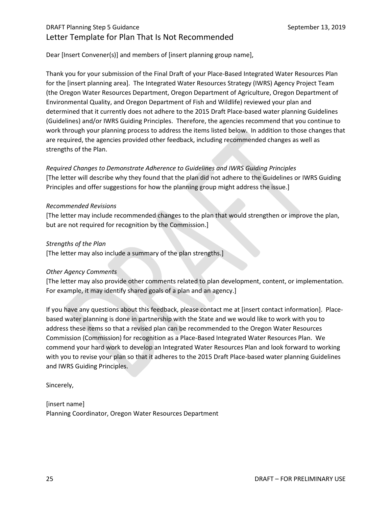### DRAFT Planning Step 5 Guidance **September 13, 2019** September 13, 2019 Letter Template for Plan That Is Not Recommended

Dear [Insert Convener(s)] and members of [insert planning group name],

Thank you for your submission of the Final Draft of your Place-Based Integrated Water Resources Plan for the [insert planning area]. The Integrated Water Resources Strategy (IWRS) Agency Project Team (the Oregon Water Resources Department, Oregon Department of Agriculture, Oregon Department of Environmental Quality, and Oregon Department of Fish and Wildlife) reviewed your plan and determined that it currently does not adhere to the 2015 Draft Place-based water planning Guidelines (Guidelines) and/or IWRS Guiding Principles. Therefore, the agencies recommend that you continue to work through your planning process to address the items listed below. In addition to those changes that are required, the agencies provided other feedback, including recommended changes as well as strengths of the Plan.

*Required Changes to Demonstrate Adherence to Guidelines and IWRS Guiding Principles*  [The letter will describe why they found that the plan did not adhere to the Guidelines or IWRS Guiding Principles and offer suggestions for how the planning group might address the issue.]

#### *Recommended Revisions*

[The letter may include recommended changes to the plan that would strengthen or improve the plan, but are not required for recognition by the Commission.]

#### *Strengths of the Plan*

[The letter may also include a summary of the plan strengths.]

#### *Other Agency Comments*

[The letter may also provide other comments related to plan development, content, or implementation. For example, it may identify shared goals of a plan and an agency.]

If you have any questions about this feedback, please contact me at [insert contact information]. Placebased water planning is done in partnership with the State and we would like to work with you to address these items so that a revised plan can be recommended to the Oregon Water Resources Commission (Commission) for recognition as a Place-Based Integrated Water Resources Plan. We commend your hard work to develop an Integrated Water Resources Plan and look forward to working with you to revise your plan so that it adheres to the 2015 Draft Place-based water planning Guidelines and IWRS Guiding Principles.

Sincerely,

[insert name] Planning Coordinator, Oregon Water Resources Department